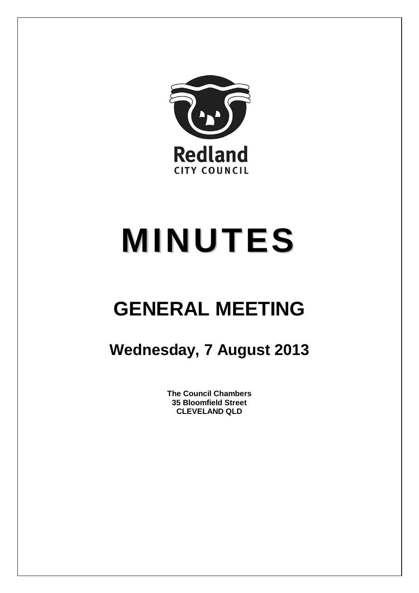

# **MINUTES**

## **GENERAL MEETING**

### **Wednesday, 7 August 2013**

**The Council Chambers 35 Bloomfield Street CLEVELAND QLD**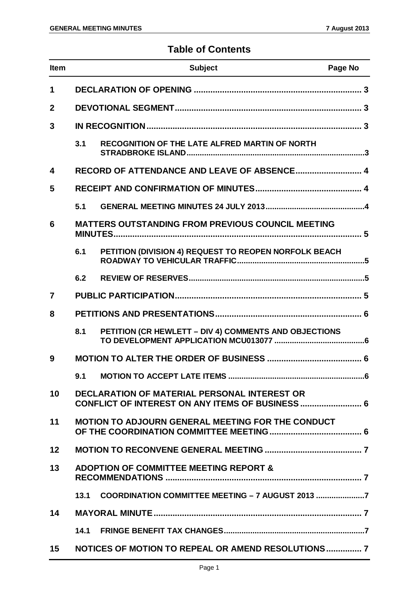#### **Table of Contents**

| Item         |      | <b>Subject</b>                                                                                                 | Page No |
|--------------|------|----------------------------------------------------------------------------------------------------------------|---------|
| 1            |      |                                                                                                                |         |
| $\mathbf{2}$ |      |                                                                                                                |         |
| 3            |      |                                                                                                                |         |
|              | 3.1  | RECOGNITION OF THE LATE ALFRED MARTIN OF NORTH                                                                 |         |
| 4            |      | RECORD OF ATTENDANCE AND LEAVE OF ABSENCE 4                                                                    |         |
| 5            |      |                                                                                                                |         |
|              | 5.1  |                                                                                                                |         |
| 6            |      | <b>MATTERS OUTSTANDING FROM PREVIOUS COUNCIL MEETING</b>                                                       |         |
|              | 6.1  | PETITION (DIVISION 4) REQUEST TO REOPEN NORFOLK BEACH                                                          |         |
|              | 6.2  |                                                                                                                |         |
| 7            |      |                                                                                                                |         |
| 8            |      |                                                                                                                |         |
|              | 8.1  | PETITION (CR HEWLETT - DIV 4) COMMENTS AND OBJECTIONS                                                          |         |
| 9            |      |                                                                                                                |         |
|              |      |                                                                                                                |         |
| 10           |      | <b>DECLARATION OF MATERIAL PERSONAL INTEREST OR</b><br><b>CONFLICT OF INTEREST ON ANY ITEMS OF BUSINESS  6</b> |         |
| 11           |      | <b>MOTION TO ADJOURN GENERAL MEETING FOR THE CONDUCT</b>                                                       |         |
| 12           |      |                                                                                                                |         |
| 13           |      | <b>ADOPTION OF COMMITTEE MEETING REPORT &amp;</b>                                                              |         |
|              | 13.1 | COORDINATION COMMITTEE MEETING - 7 AUGUST 2013                                                                 |         |
| 14           |      |                                                                                                                |         |
|              | 14.1 |                                                                                                                |         |
| 15           |      | NOTICES OF MOTION TO REPEAL OR AMEND RESOLUTIONS?                                                              |         |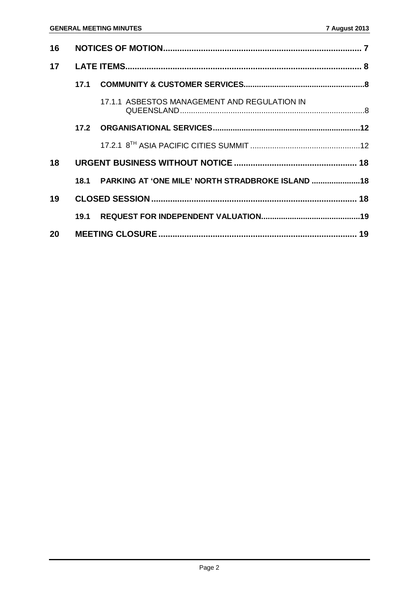| 16              |  |                                                        |  |
|-----------------|--|--------------------------------------------------------|--|
| 17              |  |                                                        |  |
|                 |  |                                                        |  |
|                 |  | 17.1.1 ASBESTOS MANAGEMENT AND REGULATION IN           |  |
|                 |  |                                                        |  |
|                 |  |                                                        |  |
| 18              |  |                                                        |  |
|                 |  | 18.1 PARKING AT 'ONE MILE' NORTH STRADBROKE ISLAND  18 |  |
| 19              |  |                                                        |  |
|                 |  |                                                        |  |
| 20 <sub>2</sub> |  |                                                        |  |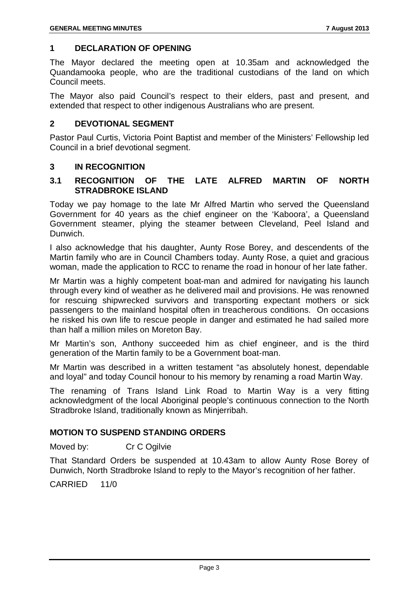#### <span id="page-3-0"></span>**1 DECLARATION OF OPENING**

The Mayor declared the meeting open at 10.35am and acknowledged the Quandamooka people, who are the traditional custodians of the land on which Council meets.

The Mayor also paid Council's respect to their elders, past and present, and extended that respect to other indigenous Australians who are present.

#### <span id="page-3-1"></span>**2 DEVOTIONAL SEGMENT**

Pastor Paul Curtis, Victoria Point Baptist and member of the Ministers' Fellowship led Council in a brief devotional segment.

#### <span id="page-3-2"></span>**3 IN RECOGNITION**

#### <span id="page-3-3"></span>**3.1 RECOGNITION OF THE LATE ALFRED MARTIN OF NORTH STRADBROKE ISLAND**

Today we pay homage to the late Mr Alfred Martin who served the Queensland Government for 40 years as the chief engineer on the 'Kaboora', a Queensland Government steamer, plying the steamer between Cleveland, Peel Island and Dunwich.

I also acknowledge that his daughter, Aunty Rose Borey, and descendents of the Martin family who are in Council Chambers today. Aunty Rose, a quiet and gracious woman, made the application to RCC to rename the road in honour of her late father.

Mr Martin was a highly competent boat-man and admired for navigating his launch through every kind of weather as he delivered mail and provisions. He was renowned for rescuing shipwrecked survivors and transporting expectant mothers or sick passengers to the mainland hospital often in treacherous conditions. On occasions he risked his own life to rescue people in danger and estimated he had sailed more than half a million miles on Moreton Bay.

Mr Martin's son, Anthony succeeded him as chief engineer, and is the third generation of the Martin family to be a Government boat-man.

Mr Martin was described in a written testament "as absolutely honest, dependable and loyal" and today Council honour to his memory by renaming a road Martin Way.

The renaming of Trans Island Link Road to Martin Way is a very fitting acknowledgment of the local Aboriginal people's continuous connection to the North Stradbroke Island, traditionally known as Minjerribah.

#### **MOTION TO SUSPEND STANDING ORDERS**

Moved by: Cr C Ogilvie

That Standard Orders be suspended at 10.43am to allow Aunty Rose Borey of Dunwich, North Stradbroke Island to reply to the Mayor's recognition of her father.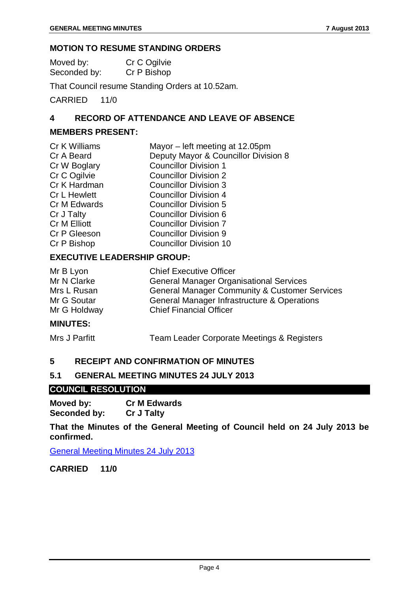#### **MOTION TO RESUME STANDING ORDERS**

| Moved by:    | Cr C Ogilvie |
|--------------|--------------|
| Seconded by: | Cr P Bishop  |

That Council resume Standing Orders at 10.52am.

CARRIED 11/0

#### <span id="page-4-0"></span>**4 RECORD OF ATTENDANCE AND LEAVE OF ABSENCE**

#### **MEMBERS PRESENT:**

| Mayor – left meeting at 12.05pm      |
|--------------------------------------|
| Deputy Mayor & Councillor Division 8 |
| <b>Councillor Division 1</b>         |
| <b>Councillor Division 2</b>         |
| <b>Councillor Division 3</b>         |
| <b>Councillor Division 4</b>         |
| <b>Councillor Division 5</b>         |
| <b>Councillor Division 6</b>         |
| <b>Councillor Division 7</b>         |
| <b>Councillor Division 9</b>         |
| <b>Councillor Division 10</b>        |
|                                      |

#### **EXECUTIVE LEADERSHIP GROUP:**

| Mr B Lyon    | <b>Chief Executive Officer</b>                           |
|--------------|----------------------------------------------------------|
| Mr N Clarke  | <b>General Manager Organisational Services</b>           |
| Mrs L Rusan  | <b>General Manager Community &amp; Customer Services</b> |
| Mr G Soutar  | General Manager Infrastructure & Operations              |
| Mr G Holdway | <b>Chief Financial Officer</b>                           |

#### **MINUTES:**

Mrs J Parfitt Team Leader Corporate Meetings & Registers

#### <span id="page-4-1"></span>**5 RECEIPT AND CONFIRMATION OF MINUTES**

#### <span id="page-4-2"></span>**5.1 GENERAL MEETING MINUTES 24 JULY 2013**

#### **COUNCIL RESOLUTION**

**Moved by: Cr M Edwards Seconded by:** 

**That the Minutes of the General Meeting of Council held on 24 July 2013 be confirmed.**

General Meeting Minutes 24 July 2013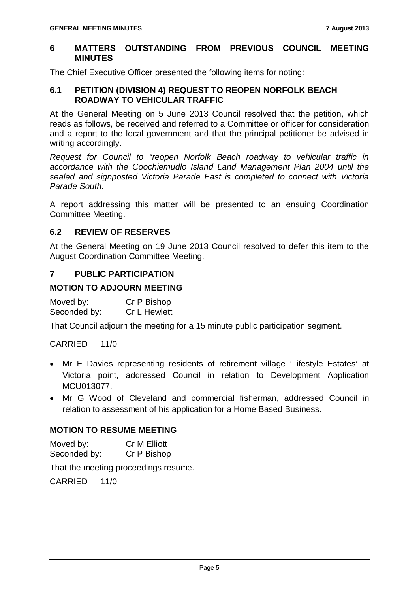#### <span id="page-5-0"></span>**6 MATTERS OUTSTANDING FROM PREVIOUS COUNCIL MEETING MINUTES**

The Chief Executive Officer presented the following items for noting:

#### <span id="page-5-1"></span>**6.1 PETITION (DIVISION 4) REQUEST TO REOPEN NORFOLK BEACH ROADWAY TO VEHICULAR TRAFFIC**

At the General Meeting on 5 June 2013 Council resolved that the petition, which reads as follows, be received and referred to a Committee or officer for consideration and a report to the local government and that the principal petitioner be advised in writing accordingly.

*Request for Council to "reopen Norfolk Beach roadway to vehicular traffic in accordance with the Coochiemudlo Island Land Management Plan 2004 until the sealed and signposted Victoria Parade East is completed to connect with Victoria Parade South.*

A report addressing this matter will be presented to an ensuing Coordination Committee Meeting.

#### <span id="page-5-2"></span>**6.2 REVIEW OF RESERVES**

At the General Meeting on 19 June 2013 Council resolved to defer this item to the August Coordination Committee Meeting.

#### <span id="page-5-3"></span>**7 PUBLIC PARTICIPATION**

#### **MOTION TO ADJOURN MEETING**

| Moved by:    | Cr P Bishop  |
|--------------|--------------|
| Seconded by: | Cr L Hewlett |

That Council adjourn the meeting for a 15 minute public participation segment.

#### CARRIED 11/0

- Mr E Davies representing residents of retirement village 'Lifestyle Estates' at Victoria point, addressed Council in relation to Development Application MCU013077.
- Mr G Wood of Cleveland and commercial fisherman, addressed Council in relation to assessment of his application for a Home Based Business.

#### **MOTION TO RESUME MEETING**

| Moved by:    | <b>Cr M Elliott</b> |
|--------------|---------------------|
| Seconded by: | Cr P Bishop         |

That the meeting proceedings resume.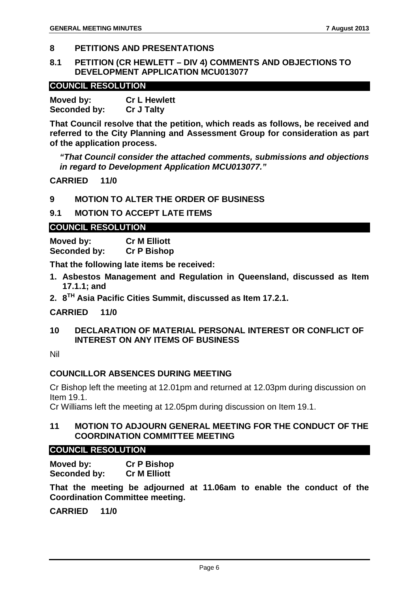#### <span id="page-6-0"></span>**8 PETITIONS AND PRESENTATIONS**

#### <span id="page-6-1"></span>**8.1 PETITION (CR HEWLETT – DIV 4) COMMENTS AND OBJECTIONS TO DEVELOPMENT APPLICATION MCU013077**

#### **COUNCIL RESOLUTION**

**Moved by: Cr L Hewlett Seconded by: Cr J Talty**

**That Council resolve that the petition, which reads as follows, be received and referred to the City Planning and Assessment Group for consideration as part of the application process.**

*"That Council consider the attached comments, submissions and objections in regard to Development Application MCU013077."*

**CARRIED 11/0**

<span id="page-6-2"></span>**9 MOTION TO ALTER THE ORDER OF BUSINESS**

#### <span id="page-6-3"></span>**9.1 MOTION TO ACCEPT LATE ITEMS**

#### **COUNCIL RESOLUTION**

**Moved by: Cr M Elliott Seconded by: Cr P Bishop**

**That the following late items be received:**

- **1. Asbestos Management and Regulation in Queensland, discussed as Item 17.1.1; and**
- **2. 8TH Asia Pacific Cities Summit, discussed as Item 17.2.1.**

#### **CARRIED 11/0**

<span id="page-6-4"></span>**10 DECLARATION OF MATERIAL PERSONAL INTEREST OR CONFLICT OF INTEREST ON ANY ITEMS OF BUSINESS**

Nil

#### **COUNCILLOR ABSENCES DURING MEETING**

Cr Bishop left the meeting at 12.01pm and returned at 12.03pm during discussion on Item 19.1.

Cr Williams left the meeting at 12.05pm during discussion on Item 19.1.

#### <span id="page-6-5"></span>**11 MOTION TO ADJOURN GENERAL MEETING FOR THE CONDUCT OF THE COORDINATION COMMITTEE MEETING**

#### **COUNCIL RESOLUTION**

**Moved by: Cr P Bishop Seconded by:** 

**That the meeting be adjourned at 11.06am to enable the conduct of the Coordination Committee meeting.**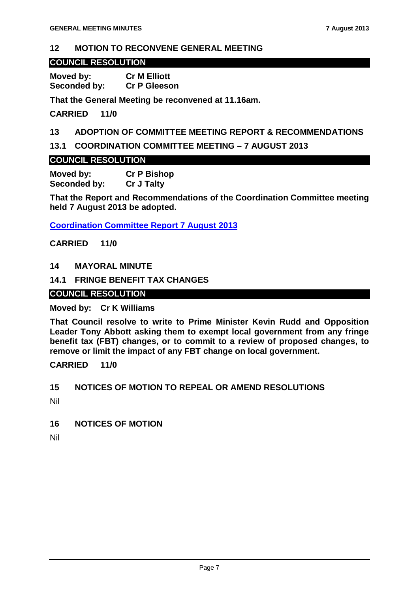#### <span id="page-7-0"></span>**12 MOTION TO RECONVENE GENERAL MEETING**

#### **COUNCIL RESOLUTION**

**Moved by: Cr M Elliott Seconded by:** 

**That the General Meeting be reconvened at 11.16am.**

**CARRIED 11/0**

#### <span id="page-7-1"></span>**13 ADOPTION OF COMMITTEE MEETING REPORT & RECOMMENDATIONS**

<span id="page-7-2"></span>**13.1 COORDINATION COMMITTEE MEETING – 7 AUGUST 2013**

#### **COUNCIL RESOLUTION**

**Moved by: Cr P Bishop Seconded by:** 

**That the Report and Recommendations of the Coordination Committee meeting held 7 August 2013 be adopted.**

**Coordination Committee Report 7 August 2013**

**CARRIED 11/0**

<span id="page-7-3"></span>**14 MAYORAL MINUTE**

#### <span id="page-7-4"></span>**14.1 FRINGE BENEFIT TAX CHANGES**

#### **COUNCIL RESOLUTION**

#### **Moved by: Cr K Williams**

**That Council resolve to write to Prime Minister Kevin Rudd and Opposition Leader Tony Abbott asking them to exempt local government from any fringe benefit tax (FBT) changes, or to commit to a review of proposed changes, to remove or limit the impact of any FBT change on local government.**

**CARRIED 11/0**

#### <span id="page-7-5"></span>**15 NOTICES OF MOTION TO REPEAL OR AMEND RESOLUTIONS**

Nil

<span id="page-7-6"></span>**16 NOTICES OF MOTION**

Nil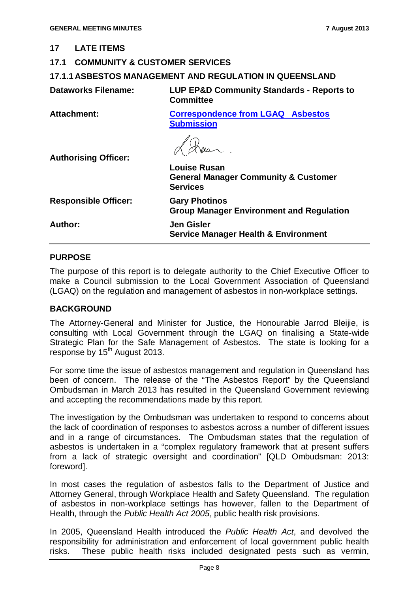#### <span id="page-8-0"></span>**17 LATE ITEMS**

#### <span id="page-8-1"></span>**17.1 COMMUNITY & CUSTOMER SERVICES**

#### <span id="page-8-2"></span>**17.1.1 ASBESTOS MANAGEMENT AND REGULATION IN QUEENSLAND**

| <b>Dataworks Filename:</b> | <b>LUP EP&amp;D Community Standards - Reports to</b> |
|----------------------------|------------------------------------------------------|
|                            | <b>Committee</b>                                     |

**Attachment: Correspondence from LGAQ Asbestos Submission**

**Authorising Officer:**

|                             | <b>Louise Rusan</b><br><b>General Manager Community &amp; Customer</b><br><b>Services</b> |
|-----------------------------|-------------------------------------------------------------------------------------------|
| <b>Responsible Officer:</b> | <b>Gary Photinos</b><br><b>Group Manager Environment and Regulation</b>                   |
| <b>Author:</b>              | <b>Jen Gisler</b><br><b>Service Manager Health &amp; Environment</b>                      |

#### **PURPOSE**

The purpose of this report is to delegate authority to the Chief Executive Officer to make a Council submission to the Local Government Association of Queensland (LGAQ) on the regulation and management of asbestos in non-workplace settings.

#### **BACKGROUND**

The Attorney-General and Minister for Justice, the Honourable Jarrod Bleijie, is consulting with Local Government through the LGAQ on finalising a State-wide Strategic Plan for the Safe Management of Asbestos. The state is looking for a response by  $15<sup>th</sup>$  August 2013.

For some time the issue of asbestos management and regulation in Queensland has been of concern. The release of the "The Asbestos Report" by the Queensland Ombudsman in March 2013 has resulted in the Queensland Government reviewing and accepting the recommendations made by this report.

The investigation by the Ombudsman was undertaken to respond to concerns about the lack of coordination of responses to asbestos across a number of different issues and in a range of circumstances. The Ombudsman states that the regulation of asbestos is undertaken in a "complex regulatory framework that at present suffers from a lack of strategic oversight and coordination" [QLD Ombudsman: 2013: foreword].

In most cases the regulation of asbestos falls to the Department of Justice and Attorney General, through Workplace Health and Safety Queensland. The regulation of asbestos in non-workplace settings has however, fallen to the Department of Health, through the *Public Health Act 2005*, public health risk provisions.

In 2005, Queensland Health introduced the *Public Health Act*, and devolved the responsibility for administration and enforcement of local government public health risks. These public health risks included designated pests such as vermin,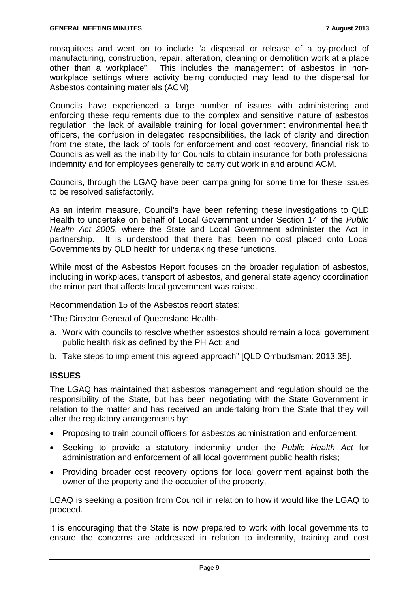mosquitoes and went on to include "a dispersal or release of a by-product of manufacturing, construction, repair, alteration, cleaning or demolition work at a place other than a workplace". This includes the management of asbestos in nonworkplace settings where activity being conducted may lead to the dispersal for Asbestos containing materials (ACM).

Councils have experienced a large number of issues with administering and enforcing these requirements due to the complex and sensitive nature of asbestos regulation, the lack of available training for local government environmental health officers, the confusion in delegated responsibilities, the lack of clarity and direction from the state, the lack of tools for enforcement and cost recovery, financial risk to Councils as well as the inability for Councils to obtain insurance for both professional indemnity and for employees generally to carry out work in and around ACM.

Councils, through the LGAQ have been campaigning for some time for these issues to be resolved satisfactorily.

As an interim measure, Council's have been referring these investigations to QLD Health to undertake on behalf of Local Government under Section 14 of the *Public Health Act 2005*, where the State and Local Government administer the Act in partnership. It is understood that there has been no cost placed onto Local Governments by QLD health for undertaking these functions.

While most of the Asbestos Report focuses on the broader regulation of asbestos, including in workplaces, transport of asbestos, and general state agency coordination the minor part that affects local government was raised.

Recommendation 15 of the Asbestos report states:

"The Director General of Queensland Health-

- a. Work with councils to resolve whether asbestos should remain a local government public health risk as defined by the PH Act; and
- b. Take steps to implement this agreed approach" [QLD Ombudsman: 2013:35].

#### **ISSUES**

The LGAQ has maintained that asbestos management and regulation should be the responsibility of the State, but has been negotiating with the State Government in relation to the matter and has received an undertaking from the State that they will alter the regulatory arrangements by:

- Proposing to train council officers for asbestos administration and enforcement;
- Seeking to provide a statutory indemnity under the *Public Health Act* for administration and enforcement of all local government public health risks;
- Providing broader cost recovery options for local government against both the owner of the property and the occupier of the property.

LGAQ is seeking a position from Council in relation to how it would like the LGAQ to proceed.

It is encouraging that the State is now prepared to work with local governments to ensure the concerns are addressed in relation to indemnity, training and cost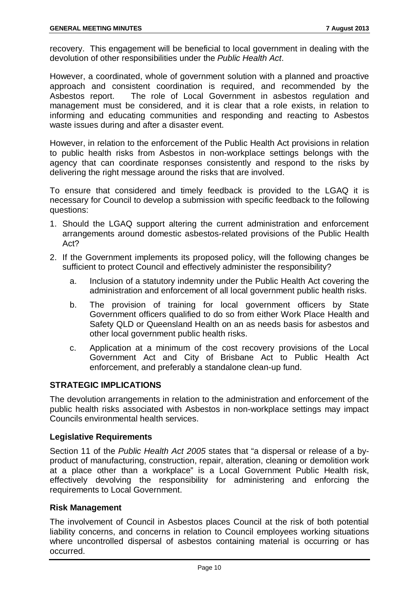recovery. This engagement will be beneficial to local government in dealing with the devolution of other responsibilities under the *Public Health Act*.

However, a coordinated, whole of government solution with a planned and proactive approach and consistent coordination is required, and recommended by the Asbestos report. The role of Local Government in asbestos regulation and management must be considered, and it is clear that a role exists, in relation to informing and educating communities and responding and reacting to Asbestos waste issues during and after a disaster event.

However, in relation to the enforcement of the Public Health Act provisions in relation to public health risks from Asbestos in non-workplace settings belongs with the agency that can coordinate responses consistently and respond to the risks by delivering the right message around the risks that are involved.

To ensure that considered and timely feedback is provided to the LGAQ it is necessary for Council to develop a submission with specific feedback to the following questions:

- 1. Should the LGAQ support altering the current administration and enforcement arrangements around domestic asbestos-related provisions of the Public Health Act?
- 2. If the Government implements its proposed policy, will the following changes be sufficient to protect Council and effectively administer the responsibility?
	- a. Inclusion of a statutory indemnity under the Public Health Act covering the administration and enforcement of all local government public health risks.
	- b. The provision of training for local government officers by State Government officers qualified to do so from either Work Place Health and Safety QLD or Queensland Health on an as needs basis for asbestos and other local government public health risks.
	- c. Application at a minimum of the cost recovery provisions of the Local Government Act and City of Brisbane Act to Public Health Act enforcement, and preferably a standalone clean-up fund.

#### **STRATEGIC IMPLICATIONS**

The devolution arrangements in relation to the administration and enforcement of the public health risks associated with Asbestos in non-workplace settings may impact Councils environmental health services.

#### **Legislative Requirements**

Section 11 of the *Public Health Act 2005* states that "a dispersal or release of a byproduct of manufacturing, construction, repair, alteration, cleaning or demolition work at a place other than a workplace" is a Local Government Public Health risk, effectively devolving the responsibility for administering and enforcing the requirements to Local Government.

#### **Risk Management**

The involvement of Council in Asbestos places Council at the risk of both potential liability concerns, and concerns in relation to Council employees working situations where uncontrolled dispersal of asbestos containing material is occurring or has occurred.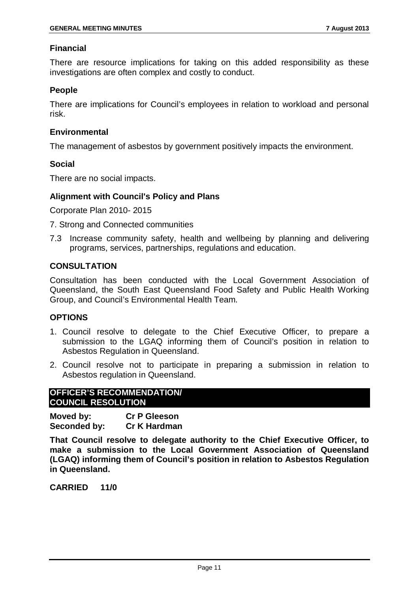#### **Financial**

There are resource implications for taking on this added responsibility as these investigations are often complex and costly to conduct.

#### **People**

There are implications for Council's employees in relation to workload and personal risk.

#### **Environmental**

The management of asbestos by government positively impacts the environment.

#### **Social**

There are no social impacts.

#### **Alignment with Council's Policy and Plans**

Corporate Plan 2010- 2015

- 7. Strong and Connected communities
- 7.3 Increase community safety, health and wellbeing by planning and delivering programs, services, partnerships, regulations and education.

#### **CONSULTATION**

Consultation has been conducted with the Local Government Association of Queensland, the South East Queensland Food Safety and Public Health Working Group, and Council's Environmental Health Team.

#### **OPTIONS**

- 1. Council resolve to delegate to the Chief Executive Officer, to prepare a submission to the LGAQ informing them of Council's position in relation to Asbestos Regulation in Queensland.
- 2. Council resolve not to participate in preparing a submission in relation to Asbestos regulation in Queensland.

#### **OFFICER'S RECOMMENDATION/ COUNCIL RESOLUTION**

**Moved by: Cr P Gleeson Seconded by: Cr K Hardman**

**That Council resolve to delegate authority to the Chief Executive Officer, to make a submission to the Local Government Association of Queensland (LGAQ) informing them of Council's position in relation to Asbestos Regulation in Queensland.**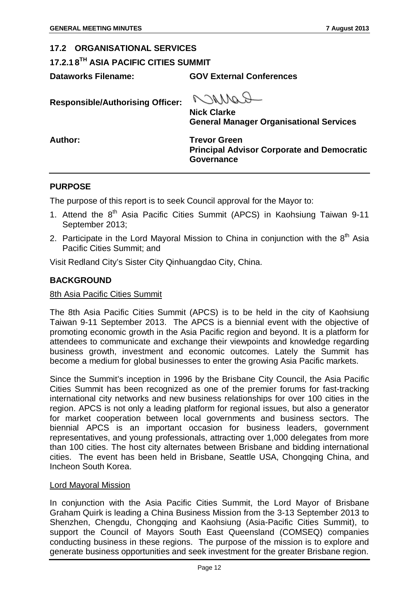<span id="page-12-1"></span><span id="page-12-0"></span>**17.2.1 8TH ASIA PACIFIC CITIES SUMMIT**

**Dataworks Filename: GOV External Conferences**

**Responsible/Authorising Officer:**

ROMNO **Nick Clarke General Manager Organisational Services**

**Author: Trevor Green Principal Advisor Corporate and Democratic Governance**

#### **PURPOSE**

The purpose of this report is to seek Council approval for the Mayor to:

- 1. Attend the 8<sup>th</sup> Asia Pacific Cities Summit (APCS) in Kaohsiung Taiwan 9-11 September 2013;
- 2. Participate in the Lord Mayoral Mission to China in conjunction with the  $8<sup>th</sup>$  Asia Pacific Cities Summit; and

Visit Redland City's Sister City Qinhuangdao City, China.

#### **BACKGROUND**

#### 8th Asia Pacific Cities Summit

The 8th Asia Pacific Cities Summit (APCS) is to be held in the city of Kaohsiung Taiwan 9-11 September 2013. The APCS is a biennial event with the objective of promoting economic growth in the Asia Pacific region and beyond. It is a platform for attendees to communicate and exchange their viewpoints and knowledge regarding business growth, investment and economic outcomes. Lately the Summit has become a medium for global businesses to enter the growing Asia Pacific markets.

Since the Summit's inception in 1996 by the Brisbane City Council, the Asia Pacific Cities Summit has been recognized as one of the premier forums for fast-tracking international city networks and new business relationships for over 100 cities in the region. APCS is not only a leading platform for regional issues, but also a generator for market cooperation between local governments and business sectors. The biennial APCS is an important occasion for business leaders, government representatives, and young professionals, attracting over 1,000 delegates from more than 100 cities. The host city alternates between Brisbane and bidding international cities. The event has been held in Brisbane, Seattle USA, Chongqing China, and Incheon South Korea.

#### Lord Mayoral Mission

In conjunction with the Asia Pacific Cities Summit, the Lord Mayor of Brisbane Graham Quirk is leading a China Business Mission from the 3-13 September 2013 to Shenzhen, Chengdu, Chongqing and Kaohsiung (Asia-Pacific Cities Summit), to support the Council of Mayors South East Queensland (COMSEQ) companies conducting business in these regions. The purpose of the mission is to explore and generate business opportunities and seek investment for the greater Brisbane region.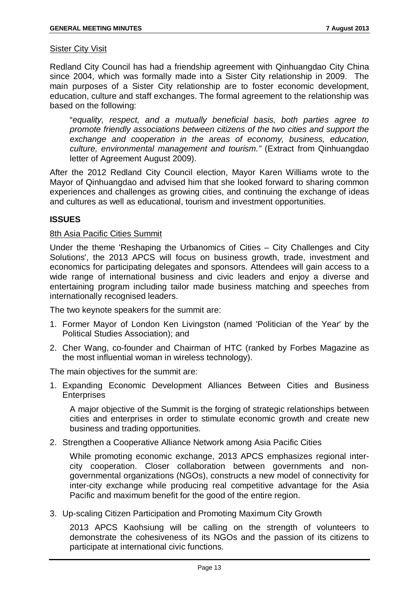#### **Sister City Visit**

Redland City Council has had a friendship agreement with Qinhuangdao City China since 2004, which was formally made into a Sister City relationship in 2009. The main purposes of a Sister City relationship are to foster economic development, education, culture and staff exchanges. The formal agreement to the relationship was based on the following:

"*equality, respect, and a mutually beneficial basis, both parties agree to promote friendly associations between citizens of the two cities and support the exchange and cooperation in the areas of economy, business, education, culture, environmental management and tourism."* (Extract from Qinhuangdao letter of Agreement August 2009).

After the 2012 Redland City Council election, Mayor Karen Williams wrote to the Mayor of Qinhuangdao and advised him that she looked forward to sharing common experiences and challenges as growing cities, and continuing the exchange of ideas and cultures as well as educational, tourism and investment opportunities.

#### **ISSUES**

#### 8th Asia Pacific Cities Summit

Under the theme 'Reshaping the Urbanomics of Cities – City Challenges and City Solutions', the 2013 APCS will focus on business growth, trade, investment and economics for participating delegates and sponsors. Attendees will gain access to a wide range of international business and civic leaders and enjoy a diverse and entertaining program including tailor made business matching and speeches from internationally recognised leaders.

The two keynote speakers for the summit are:

- 1. Former Mayor of London Ken Livingston (named 'Politician of the Year' by the Political Studies Association); and
- 2. Cher Wang, co-founder and Chairman of HTC (ranked by Forbes Magazine as the most influential woman in wireless technology).

The main objectives for the summit are:

1. Expanding Economic Development Alliances Between Cities and Business **Enterprises** 

A major objective of the Summit is the forging of strategic relationships between cities and enterprises in order to stimulate economic growth and create new business and trading opportunities.

2. Strengthen a Cooperative Alliance Network among Asia Pacific Cities

While promoting economic exchange, 2013 APCS emphasizes regional intercity cooperation. Closer collaboration between governments and nongovernmental organizations (NGOs), constructs a new model of connectivity for inter-city exchange while producing real competitive advantage for the Asia Pacific and maximum benefit for the good of the entire region.

3. Up-scaling Citizen Participation and Promoting Maximum City Growth

2013 APCS Kaohsiung will be calling on the strength of volunteers to demonstrate the cohesiveness of its NGOs and the passion of its citizens to participate at international civic functions.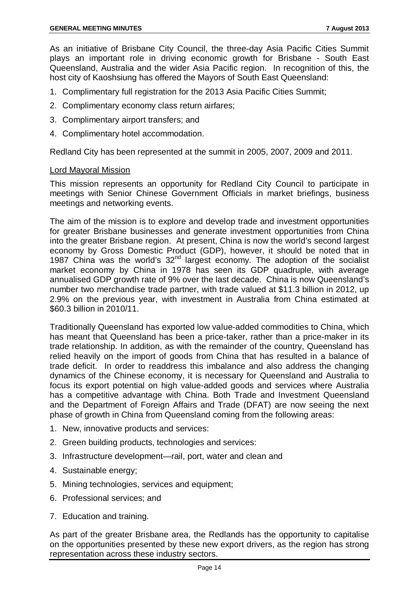As an initiative of Brisbane City Council, the three-day Asia Pacific Cities Summit plays an important role in driving economic growth for Brisbane - South East Queensland, Australia and the wider Asia Pacific region. In recognition of this, the host city of Kaoshsiung has offered the Mayors of South East Queensland:

- 1. Complimentary full registration for the 2013 Asia Pacific Cities Summit;
- 2. Complimentary economy class return airfares;
- 3. Complimentary airport transfers; and
- 4. Complimentary hotel accommodation.

Redland City has been represented at the summit in 2005, 2007, 2009 and 2011.

#### Lord Mayoral Mission

This mission represents an opportunity for Redland City Council to participate in meetings with Senior Chinese Government Officials in market briefings, business meetings and networking events.

The aim of the mission is to explore and develop trade and investment opportunities for greater Brisbane businesses and generate investment opportunities from China into the greater Brisbane region. At present, China is now the world's second largest economy by Gross Domestic Product (GDP), however, it should be noted that in 1987 China was the world's  $32<sup>nd</sup>$  largest economy. The adoption of the socialist market economy by China in 1978 has seen its GDP quadruple, with average annualised GDP growth rate of 9% over the last decade. China is now Queensland's number two merchandise trade partner, with trade valued at \$11.3 billion in 2012, up 2.9% on the previous year, with investment in Australia from China estimated at \$60.3 billion in 2010/11.

Traditionally Queensland has exported low value-added commodities to China, which has meant that Queensland has been a price-taker, rather than a price-maker in its trade relationship. In addition, as with the remainder of the country, Queensland has relied heavily on the import of goods from China that has resulted in a balance of trade deficit. In order to readdress this imbalance and also address the changing dynamics of the Chinese economy, it is necessary for Queensland and Australia to focus its export potential on high value-added goods and services where Australia has a competitive advantage with China. Both Trade and Investment Queensland and the Department of Foreign Affairs and Trade (DFAT) are now seeing the next phase of growth in China from Queensland coming from the following areas:

- 1. New, innovative products and services:
- 2. Green building products, technologies and services:
- 3. Infrastructure development—rail, port, water and clean and
- 4. Sustainable energy;
- 5. Mining technologies, services and equipment;
- 6. Professional services; and
- 7. Education and training.

As part of the greater Brisbane area, the Redlands has the opportunity to capitalise on the opportunities presented by these new export drivers, as the region has strong representation across these industry sectors.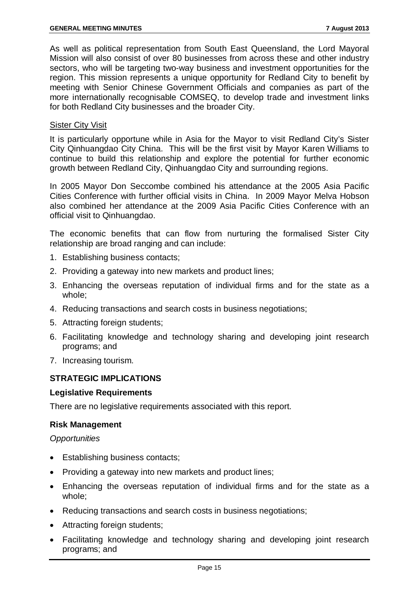As well as political representation from South East Queensland, the Lord Mayoral Mission will also consist of over 80 businesses from across these and other industry sectors, who will be targeting two-way business and investment opportunities for the region. This mission represents a unique opportunity for Redland City to benefit by meeting with Senior Chinese Government Officials and companies as part of the more internationally recognisable COMSEQ, to develop trade and investment links for both Redland City businesses and the broader City.

#### Sister City Visit

It is particularly opportune while in Asia for the Mayor to visit Redland City's Sister City Qinhuangdao City China. This will be the first visit by Mayor Karen Williams to continue to build this relationship and explore the potential for further economic growth between Redland City, Qinhuangdao City and surrounding regions.

In 2005 Mayor Don Seccombe combined his attendance at the 2005 Asia Pacific Cities Conference with further official visits in China. In 2009 Mayor Melva Hobson also combined her attendance at the 2009 Asia Pacific Cities Conference with an official visit to Qinhuangdao.

The economic benefits that can flow from nurturing the formalised Sister City relationship are broad ranging and can include:

- 1. Establishing business contacts;
- 2. Providing a gateway into new markets and product lines;
- 3. Enhancing the overseas reputation of individual firms and for the state as a whole;
- 4. Reducing transactions and search costs in business negotiations;
- 5. Attracting foreign students;
- 6. Facilitating knowledge and technology sharing and developing joint research programs; and
- 7. Increasing tourism.

#### **STRATEGIC IMPLICATIONS**

#### **Legislative Requirements**

There are no legislative requirements associated with this report.

#### **Risk Management**

*Opportunities*

- Establishing business contacts;
- Providing a gateway into new markets and product lines;
- Enhancing the overseas reputation of individual firms and for the state as a whole;
- Reducing transactions and search costs in business negotiations;
- Attracting foreign students;
- Facilitating knowledge and technology sharing and developing joint research programs; and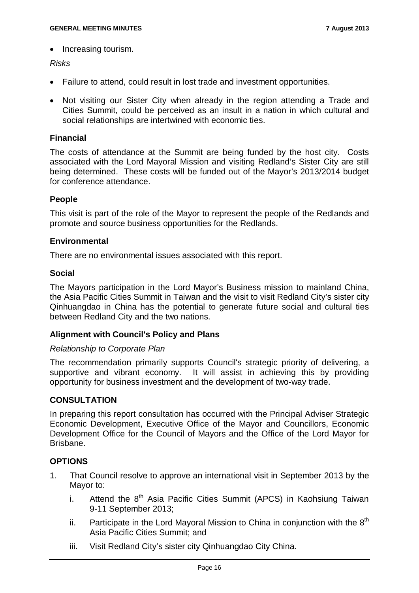• Increasing tourism.

#### *Risks*

- Failure to attend, could result in lost trade and investment opportunities.
- Not visiting our Sister City when already in the region attending a Trade and Cities Summit, could be perceived as an insult in a nation in which cultural and social relationships are intertwined with economic ties.

#### **Financial**

The costs of attendance at the Summit are being funded by the host city. Costs associated with the Lord Mayoral Mission and visiting Redland's Sister City are still being determined. These costs will be funded out of the Mayor's 2013/2014 budget for conference attendance.

#### **People**

This visit is part of the role of the Mayor to represent the people of the Redlands and promote and source business opportunities for the Redlands.

#### **Environmental**

There are no environmental issues associated with this report.

#### **Social**

The Mayors participation in the Lord Mayor's Business mission to mainland China, the Asia Pacific Cities Summit in Taiwan and the visit to visit Redland City's sister city Qinhuangdao in China has the potential to generate future social and cultural ties between Redland City and the two nations.

#### **Alignment with Council's Policy and Plans**

#### *Relationship to Corporate Plan*

The recommendation primarily supports Council's strategic priority of delivering, a supportive and vibrant economy. It will assist in achieving this by providing opportunity for business investment and the development of two-way trade.

#### **CONSULTATION**

In preparing this report consultation has occurred with the Principal Adviser Strategic Economic Development, Executive Office of the Mayor and Councillors, Economic Development Office for the Council of Mayors and the Office of the Lord Mayor for Brisbane.

#### **OPTIONS**

- 1. That Council resolve to approve an international visit in September 2013 by the Mayor to:
	- i. Attend the  $8<sup>th</sup>$  Asia Pacific Cities Summit (APCS) in Kaohsiung Taiwan 9-11 September 2013;
	- ii. Participate in the Lord Mayoral Mission to China in conjunction with the  $8<sup>th</sup>$ Asia Pacific Cities Summit; and
	- iii. Visit Redland City's sister city Qinhuangdao City China.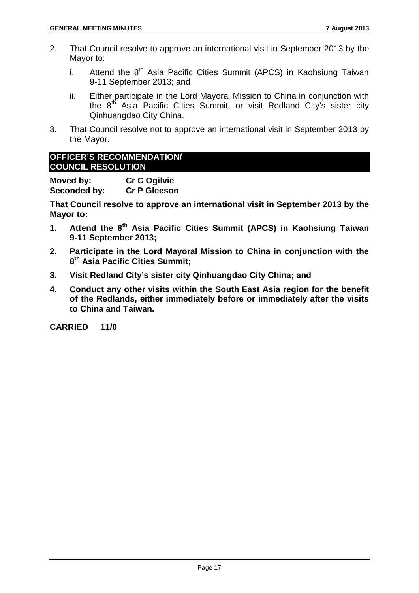- 2. That Council resolve to approve an international visit in September 2013 by the Mayor to:
	- i. Attend the  $8<sup>th</sup>$  Asia Pacific Cities Summit (APCS) in Kaohsiung Taiwan 9-11 September 2013; and
	- ii. Either participate in the Lord Mayoral Mission to China in conjunction with the 8<sup>th</sup> Asia Pacific Cities Summit, or visit Redland City's sister city Qinhuangdao City China.
- 3. That Council resolve not to approve an international visit in September 2013 by the Mayor.

#### **OFFICER'S RECOMMENDATION/ COUNCIL RESOLUTION**

**Moved by: Cr C Ogilvie Seconded by:** 

**That Council resolve to approve an international visit in September 2013 by the Mayor to:**

- **1. Attend the 8th Asia Pacific Cities Summit (APCS) in Kaohsiung Taiwan 9-11 September 2013;**
- **2. Participate in the Lord Mayoral Mission to China in conjunction with the 8th Asia Pacific Cities Summit;**
- **3. Visit Redland City's sister city Qinhuangdao City China; and**
- **4. Conduct any other visits within the South East Asia region for the benefit of the Redlands, either immediately before or immediately after the visits to China and Taiwan.**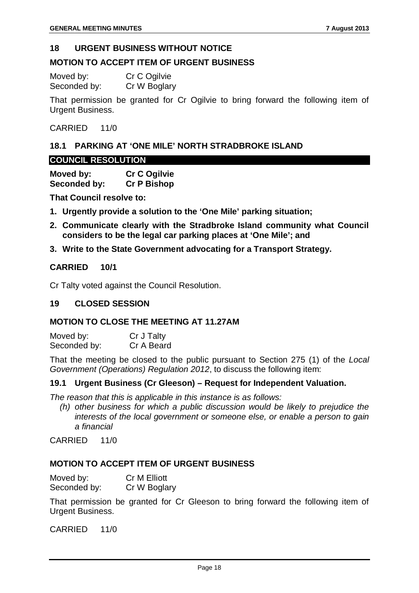#### <span id="page-18-0"></span>**18 URGENT BUSINESS WITHOUT NOTICE**

#### **MOTION TO ACCEPT ITEM OF URGENT BUSINESS**

| Moved by:    | Cr C Ogilvie |
|--------------|--------------|
| Seconded by: | Cr W Boglary |

That permission be granted for Cr Ogilvie to bring forward the following item of Urgent Business.

#### CARRIED 11/0

#### <span id="page-18-1"></span>**18.1 PARKING AT 'ONE MILE' NORTH STRADBROKE ISLAND**

#### **COUNCIL RESOLUTION**

**Moved by: Cr C Ogilvie Seconded by:** 

**That Council resolve to:**

- **1. Urgently provide a solution to the 'One Mile' parking situation;**
- **2. Communicate clearly with the Stradbroke Island community what Council considers to be the legal car parking places at 'One Mile'; and**
- **3. Write to the State Government advocating for a Transport Strategy.**

#### **CARRIED 10/1**

Cr Talty voted against the Council Resolution.

#### <span id="page-18-2"></span>**19 CLOSED SESSION**

#### **MOTION TO CLOSE THE MEETING AT 11.27AM**

| Moved by:    | Cr J Talty |
|--------------|------------|
| Seconded by: | Cr A Beard |

That the meeting be closed to the public pursuant to Section 275 (1) of the *Local Government (Operations) Regulation 2012*, to discuss the following item:

#### **19.1 Urgent Business (Cr Gleeson) – Request for Independent Valuation.**

*The reason that this is applicable in this instance is as follows:*

*(h) other business for which a public discussion would be likely to prejudice the interests of the local government or someone else, or enable a person to gain a financial*

CARRIED 11/0

#### **MOTION TO ACCEPT ITEM OF URGENT BUSINESS**

| Moved by:    | Cr M Elliott |
|--------------|--------------|
| Seconded by: | Cr W Boglary |

That permission be granted for Cr Gleeson to bring forward the following item of Urgent Business.